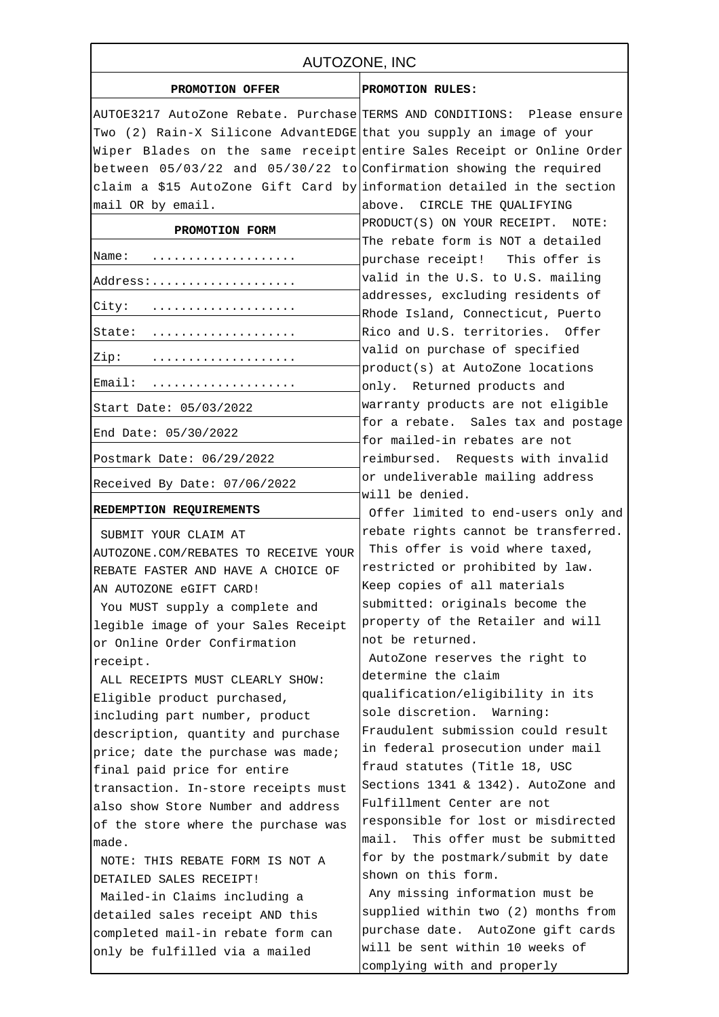| AUTOZONE, INC                                                              |                                                                         |
|----------------------------------------------------------------------------|-------------------------------------------------------------------------|
| PROMOTION OFFER                                                            | PROMOTION RULES:                                                        |
|                                                                            | AUTOE3217 AutoZone Rebate. Purchase TERMS AND CONDITIONS: Please ensure |
| Two (2) Rain-X Silicone AdvantEDGE that you supply an image of your        |                                                                         |
|                                                                            | Wiper Blades on the same receipt entire Sales Receipt or Online Order   |
| between $05/03/22$ and $05/30/22$ to Confirmation showing the required     |                                                                         |
| claim a \$15 AutoZone Gift Card by information detailed in the section     |                                                                         |
| mail OR by email.                                                          | above. CIRCLE THE QUALIFYING                                            |
| PROMOTION FORM                                                             | PRODUCT(S) ON YOUR RECEIPT. NOTE:                                       |
| Name:                                                                      | The rebate form is NOT a detailed<br>purchase receipt! This offer is    |
| Address:                                                                   | valid in the U.S. to U.S. mailing                                       |
| City:                                                                      | addresses, excluding residents of<br>Rhode Island, Connecticut, Puerto  |
| State:                                                                     | Rico and U.S. territories. Offer                                        |
| Zip:                                                                       | valid on purchase of specified<br>product(s) at AutoZone locations      |
| Email:                                                                     | only. Returned products and                                             |
| Start Date: 05/03/2022                                                     | warranty products are not eligible                                      |
| End Date: $05/30/2022$                                                     | for a rebate. Sales tax and postage<br>for mailed-in rebates are not    |
| Postmark Date: 06/29/2022                                                  | reimbursed. Requests with invalid                                       |
| Received By Date: 07/06/2022                                               | or undeliverable mailing address<br>will be denied.                     |
| REDEMPTION REQUIREMENTS                                                    | Offer limited to end-users only and                                     |
|                                                                            | rebate rights cannot be transferred.                                    |
| SUBMIT YOUR CLAIM AT                                                       | This offer is void where taxed,                                         |
| AUTOZONE.COM/REBATES TO RECEIVE YOUR<br>REBATE FASTER AND HAVE A CHOICE OF | restricted or prohibited by law.                                        |
| AN AUTOZONE eGIFT CARD!                                                    | Keep copies of all materials                                            |
| You MUST supply a complete and                                             | submitted: originals become the                                         |
| legible image of your Sales Receipt                                        | property of the Retailer and will                                       |
| or Online Order Confirmation                                               | not be returned.                                                        |
| receipt.                                                                   | AutoZone reserves the right to                                          |
| ALL RECEIPTS MUST CLEARLY SHOW:                                            | determine the claim                                                     |
| Eligible product purchased,                                                | qualification/eligibility in its                                        |
| including part number, product                                             | sole discretion. Warning:                                               |
| description, quantity and purchase                                         | Fraudulent submission could result                                      |
| price; date the purchase was made;                                         | in federal prosecution under mail                                       |
| final paid price for entire                                                | fraud statutes (Title 18, USC                                           |
| transaction. In-store receipts must                                        | Sections 1341 & 1342). AutoZone and                                     |
| also show Store Number and address                                         | Fulfillment Center are not                                              |
| of the store where the purchase was                                        | responsible for lost or misdirected                                     |
| made.                                                                      | This offer must be submitted<br>mail.                                   |
| NOTE: THIS REBATE FORM IS NOT A                                            | for by the postmark/submit by date                                      |
| DETAILED SALES RECEIPT!                                                    | shown on this form.                                                     |
| Mailed-in Claims including a                                               | Any missing information must be                                         |
| detailed sales receipt AND this                                            | supplied within two (2) months from                                     |
| completed mail-in rebate form can                                          | purchase date. AutoZone gift cards                                      |
| only be fulfilled via a mailed                                             | will be sent within 10 weeks of                                         |
|                                                                            | complying with and properly                                             |